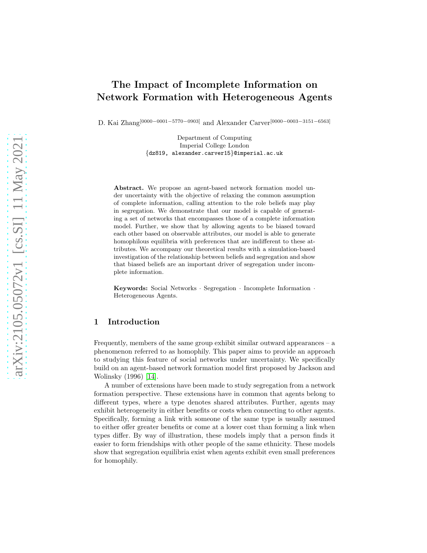# The Impact of Incomplete Information on Network Formation with Heterogeneous Agents

D. Kai Zhang[0000−0001−5770−0903] and Alexander Carver[0000−0003−3151−6563]

Department of Computing Imperial College London {dz819, alexander.carver15}@imperial.ac.uk

Abstract. We propose an agent-based network formation model under uncertainty with the objective of relaxing the common assumption of complete information, calling attention to the role beliefs may play in segregation. We demonstrate that our model is capable of generating a set of networks that encompasses those of a complete information model. Further, we show that by allowing agents to be biased toward each other based on observable attributes, our model is able to generate homophilous equilibria with preferences that are indifferent to these attributes. We accompany our theoretical results with a simulation-based investigation of the relationship between beliefs and segregation and show that biased beliefs are an important driver of segregation under incomplete information.

Keywords: Social Networks · Segregation · Incomplete Information · Heterogeneous Agents.

### 1 Introduction

Frequently, members of the same group exhibit similar outward appearances – a phenomenon referred to as homophily. This paper aims to provide an approach to studying this feature of social networks under uncertainty. We specifically build on an agent-based network formation model first proposed by Jackson and Wolinsky (1996) [\[14\]](#page-15-0).

A number of extensions have been made to study segregation from a network formation perspective. These extensions have in common that agents belong to different types, where a type denotes shared attributes. Further, agents may exhibit heterogeneity in either benefits or costs when connecting to other agents. Specifically, forming a link with someone of the same type is usually assumed to either offer greater benefits or come at a lower cost than forming a link when types differ. By way of illustration, these models imply that a person finds it easier to form friendships with other people of the same ethnicity. These models show that segregation equilibria exist when agents exhibit even small preferences for homophily.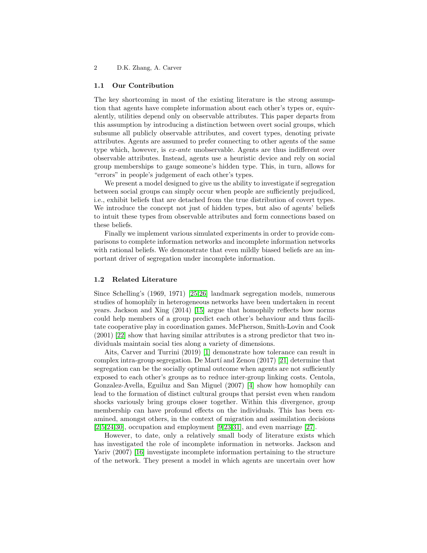### 1.1 Our Contribution

The key shortcoming in most of the existing literature is the strong assumption that agents have complete information about each other's types or, equivalently, utilities depend only on observable attributes. This paper departs from this assumption by introducing a distinction between overt social groups, which subsume all publicly observable attributes, and covert types, denoting private attributes. Agents are assumed to prefer connecting to other agents of the same type which, however, is *ex-ante* unobservable. Agents are thus indifferent over observable attributes. Instead, agents use a heuristic device and rely on social group memberships to gauge someone's hidden type. This, in turn, allows for "errors" in people's judgement of each other's types.

We present a model designed to give us the ability to investigate if segregation between social groups can simply occur when people are sufficiently prejudiced, i.e., exhibit beliefs that are detached from the true distribution of covert types. We introduce the concept not just of hidden types, but also of agents' beliefs to intuit these types from observable attributes and form connections based on these beliefs.

Finally we implement various simulated experiments in order to provide comparisons to complete information networks and incomplete information networks with rational beliefs. We demonstrate that even mildly biased beliefs are an important driver of segregation under incomplete information.

### 1.2 Related Literature

Since Schelling's (1969, 1971) [\[25,](#page-16-0)[26\]](#page-16-1) landmark segregation models, numerous studies of homophily in heterogeneous networks have been undertaken in recent years. Jackson and Xing (2014) [\[15\]](#page-15-1) argue that homophily reflects how norms could help members of a group predict each other's behaviour and thus facilitate cooperative play in coordination games. McPherson, Smith-Lovin and Cook (2001) [\[22\]](#page-16-2) show that having similar attributes is a strong predictor that two individuals maintain social ties along a variety of dimensions.

Aits, Carver and Turrini (2019) [1] demonstrate how tolerance can result in complex intra-group segregation. De Martí and Zenou  $(2017)$  [\[21\]](#page-15-2) determine that segregation can be the socially optimal outcome when agents are not sufficiently exposed to each other's groups as to reduce inter-group linking costs. Centola, Gonzalez-Avella, Eguiluz and San Miguel (2007) [\[4\]](#page-15-3) show how homophily can lead to the formation of distinct cultural groups that persist even when random shocks variously bring groups closer together. Within this divergence, group membership can have profound effects on the individuals. This has been examined, amongst others, in the context of migration and assimilation decisions  $[2,5,24,30]$  $[2,5,24,30]$  $[2,5,24,30]$  $[2,5,24,30]$ , occupation and employment  $[9,23,31]$  $[9,23,31]$  $[9,23,31]$ , and even marriage  $[27]$ .

However, to date, only a relatively small body of literature exists which has investigated the role of incomplete information in networks. Jackson and Yariv (2007) [\[16\]](#page-15-7) investigate incomplete information pertaining to the structure of the network. They present a model in which agents are uncertain over how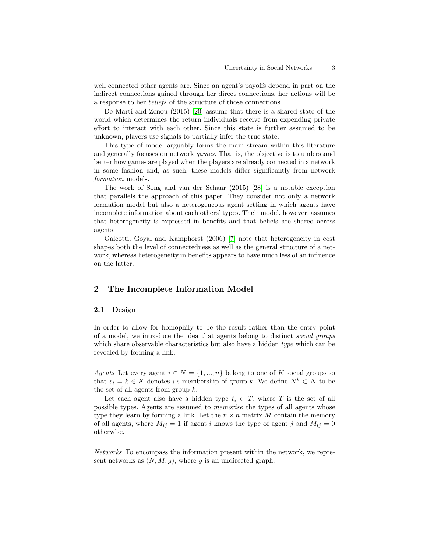well connected other agents are. Since an agent's payoffs depend in part on the indirect connections gained through her direct connections, her actions will be a response to her *beliefs* of the structure of those connections.

De Martí and Zenou  $(2015)$   $[20]$  assume that there is a shared state of the world which determines the return individuals receive from expending private effort to interact with each other. Since this state is further assumed to be unknown, players use signals to partially infer the true state.

This type of model arguably forms the main stream within this literature and generally focuses on network *games*. That is, the objective is to understand better how games are played when the players are already connected in a network in some fashion and, as such, these models differ significantly from network *formation* models.

The work of Song and van der Schaar (2015) [\[28\]](#page-16-8) is a notable exception that parallels the approach of this paper. They consider not only a network formation model but also a heterogeneous agent setting in which agents have incomplete information about each others' types. Their model, however, assumes that heterogeneity is expressed in benefits and that beliefs are shared across agents.

Galeotti, Goyal and Kamphorst (2006) [\[7\]](#page-15-9) note that heterogeneity in cost shapes both the level of connectedness as well as the general structure of a network, whereas heterogeneity in benefits appears to have much less of an influence on the latter.

# 2 The Incomplete Information Model

### 2.1 Design

In order to allow for homophily to be the result rather than the entry point of a model, we introduce the idea that agents belong to distinct *social groups* which share observable characteristics but also have a hidden *type* which can be revealed by forming a link.

*Agents* Let every agent  $i \in N = \{1, ..., n\}$  belong to one of K social groups so that  $s_i = k \in K$  denotes i's membership of group k. We define  $N^k \subset N$  to be the set of all agents from group  $k$ .

Let each agent also have a hidden type  $t_i \in T$ , where T is the set of all possible types. Agents are assumed to *memorise* the types of all agents whose type they learn by forming a link. Let the  $n \times n$  matrix M contain the memory of all agents, where  $M_{ij} = 1$  if agent i knows the type of agent j and  $M_{ij} = 0$ otherwise.

*Networks* To encompass the information present within the network, we represent networks as  $(N, M, g)$ , where g is an undirected graph.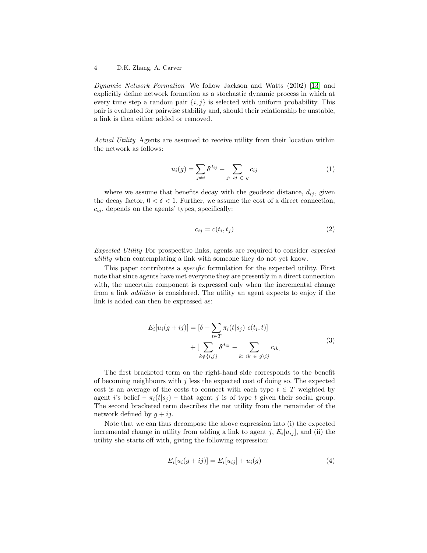*Dynamic Network Formation* We follow Jackson and Watts (2002) [\[13\]](#page-15-10) and explicitly define network formation as a stochastic dynamic process in which at every time step a random pair  $\{i, j\}$  is selected with uniform probability. This pair is evaluated for pairwise stability and, should their relationship be unstable, a link is then either added or removed.

*Actual Utility* Agents are assumed to receive utility from their location within the network as follows:

$$
u_i(g) = \sum_{j \neq i} \delta^{d_{ij}} - \sum_{j \colon ij \in g} c_{ij} \tag{1}
$$

where we assume that benefits decay with the geodesic distance,  $d_{ij}$ , given the decay factor,  $0 < \delta < 1$ . Further, we assume the cost of a direct connection,  $c_{ij}$ , depends on the agents' types, specifically:

$$
c_{ij} = c(t_i, t_j) \tag{2}
$$

*Expected Utility* For prospective links, agents are required to consider *expected utility* when contemplating a link with someone they do not yet know.

This paper contributes a *specific* formulation for the expected utility. First note that since agents have met everyone they are presently in a direct connection with, the uncertain component is expressed only when the incremental change from a link *addition* is considered. The utility an agent expects to enjoy if the link is added can then be expressed as:

$$
E_i[u_i(g+ij)] = [\delta - \sum_{t \in T} \pi_i(t|s_j) \ c(t_i, t)]
$$
  
+ 
$$
[\sum_{k \notin \{i, j\}} \delta^{d_{ik}} - \sum_{k: i k \in g \setminus ij} c_{ik}]
$$
 (3)

The first bracketed term on the right-hand side corresponds to the benefit of becoming neighbours with  $j$  less the expected cost of doing so. The expected cost is an average of the costs to connect with each type  $t \in T$  weighted by agent i's belief –  $\pi_i(t|s_i)$  – that agent j is of type t given their social group. The second bracketed term describes the net utility from the remainder of the network defined by  $g + ij$ .

Note that we can thus decompose the above expression into (i) the expected incremental change in utility from adding a link to agent j,  $E_i[u_{ij}]$ , and (ii) the utility she starts off with, giving the following expression:

$$
E_i[u_i(g + ij)] = E_i[u_{ij}] + u_i(g)
$$
\n(4)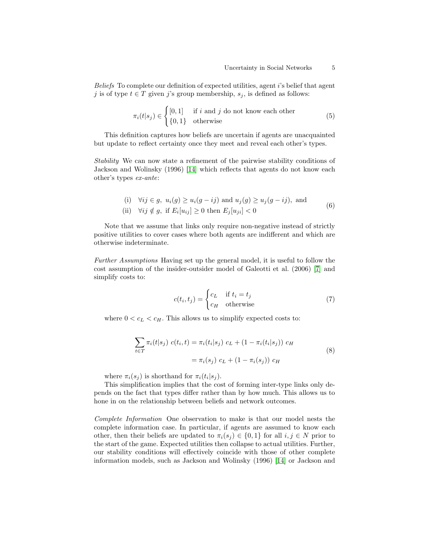*Beliefs* To complete our definition of expected utilities, agent i's belief that agent j is of type  $t \in T$  given j's group membership,  $s_j$ , is defined as follows:

$$
\pi_i(t|s_j) \in \begin{cases} [0,1] & \text{if } i \text{ and } j \text{ do not know each other} \\ \{0,1\} & \text{otherwise} \end{cases}
$$
(5)

This definition captures how beliefs are uncertain if agents are unacquainted but update to reflect certainty once they meet and reveal each other's types.

*Stability* We can now state a refinement of the pairwise stability conditions of Jackson and Wolinsky (1996) [\[14\]](#page-15-0) which reflects that agents do not know each other's types *ex-ante*:

(i) 
$$
\forall ij \in g, u_i(g) \ge u_i(g - ij)
$$
 and  $u_j(g) \ge u_j(g - ij)$ , and  
\n(ii)  $\forall ij \notin g$ , if  $E_i[u_{ij}] \ge 0$  then  $E_j[u_{ji}] < 0$  (6)

Note that we assume that links only require non-negative instead of strictly positive utilities to cover cases where both agents are indifferent and which are otherwise indeterminate.

*Further Assumptions* Having set up the general model, it is useful to follow the cost assumption of the insider-outsider model of Galeotti et al. (2006) [\[7\]](#page-15-9) and simplify costs to:

$$
c(t_i, t_j) = \begin{cases} c_L & \text{if } t_i = t_j \\ c_H & \text{otherwise} \end{cases}
$$
 (7)

where  $0 < c_L < c_H$ . This allows us to simplify expected costs to:

$$
\sum_{t \in T} \pi_i(t|s_j) \ c(t_i, t) = \pi_i(t_i|s_j) \ c_L + (1 - \pi_i(t_i|s_j)) \ c_H
$$
  
=  $\pi_i(s_j) \ c_L + (1 - \pi_i(s_j)) \ c_H$  (8)

where  $\pi_i(s_j)$  is shorthand for  $\pi_i(t_i|s_j)$ .

This simplification implies that the cost of forming inter-type links only depends on the fact that types differ rather than by how much. This allows us to hone in on the relationship between beliefs and network outcomes.

*Complete Information* One observation to make is that our model nests the complete information case. In particular, if agents are assumed to know each other, then their beliefs are updated to  $\pi_i(s_i) \in \{0,1\}$  for all  $i, j \in N$  prior to the start of the game. Expected utilities then collapse to actual utilities. Further, our stability conditions will effectively coincide with those of other complete information models, such as Jackson and Wolinsky (1996) [\[14\]](#page-15-0) or Jackson and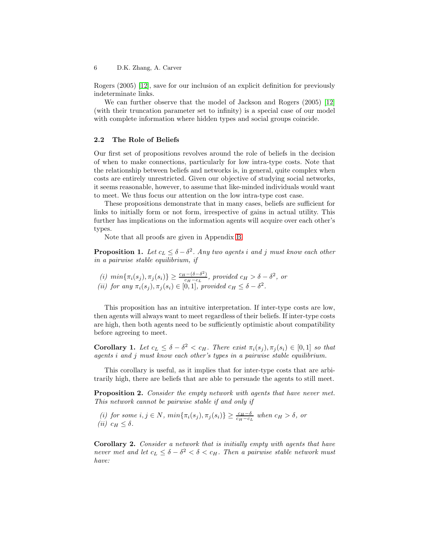Rogers (2005) [\[12\]](#page-15-11), save for our inclusion of an explicit definition for previously indeterminate links.

We can further observe that the model of Jackson and Rogers (2005) [\[12\]](#page-15-11) (with their truncation parameter set to infinity) is a special case of our model with complete information where hidden types and social groups coincide.

#### 2.2 The Role of Beliefs

Our first set of propositions revolves around the role of beliefs in the decision of when to make connections, particularly for low intra-type costs. Note that the relationship between beliefs and networks is, in general, quite complex when costs are entirely unrestricted. Given our objective of studying social networks, it seems reasonable, however, to assume that like-minded individuals would want to meet. We thus focus our attention on the low intra-type cost case.

These propositions demonstrate that in many cases, beliefs are sufficient for links to initially form or not form, irrespective of gains in actual utility. This further has implications on the information agents will acquire over each other's types.

Note that all proofs are given in Appendix [B.](#page-18-0)

**Proposition 1.** Let  $c_L \leq \delta - \delta^2$ . Any two agents i and j must know each other *in a pairwise stable equilibrium, if*

<span id="page-5-0"></span>*(i)*  $min\{\pi_i(s_j), \pi_j(s_i)\} \geq \frac{c_H - (\delta - \delta^2)}{c_H - c_L}$  $\frac{dI - (\delta - \delta^2)}{dH - c_L}$ , provided  $c_H > \delta - \delta^2$ , or (*ii*) for any  $\pi_i(s_j), \pi_j(s_i) \in [0,1]$ , provided  $c_H \leq \delta - \delta^2$ .

This proposition has an intuitive interpretation. If inter-type costs are low, then agents will always want to meet regardless of their beliefs. If inter-type costs are high, then both agents need to be sufficiently optimistic about compatibility before agreeing to meet.

<span id="page-5-1"></span>Corollary 1. Let  $c_L \leq \delta - \delta^2 < c_H$ . There exist  $\pi_i(s_j), \pi_j(s_i) \in [0,1]$  so that *agents* i *and* j *must know each other's types in a pairwise stable equilibrium.*

This corollary is useful, as it implies that for inter-type costs that are arbitrarily high, there are beliefs that are able to persuade the agents to still meet.

Proposition 2. *Consider the empty network with agents that have never met. This network cannot be pairwise stable if and only if*

<span id="page-5-2"></span> $(i)$  for some  $i, j \in N$ ,  $min\{\pi_i(s_j), \pi_j(s_i)\} \geq \frac{c_H - \delta}{c_H - c_L}$  when  $c_H > \delta$ , or *(ii)*  $c_H \leq \delta$ .

Corollary 2. *Consider a network that is initially empty with agents that have never met and let*  $c_L \leq \delta - \delta^2 < \delta < c_H$ . Then a pairwise stable network must *have:*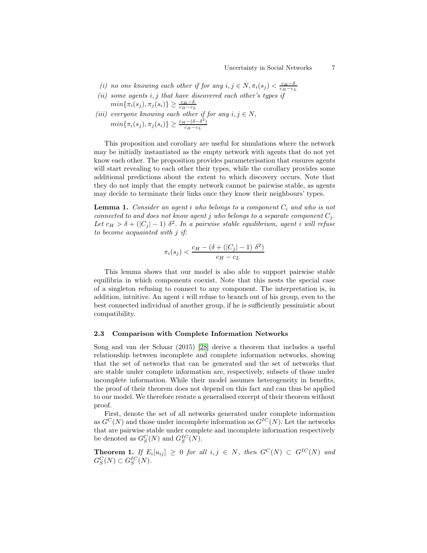- *(i) no one knowing each other if for any*  $i, j \in N, \pi_i(s_j) < \frac{c_H \delta}{c_H c_L}$
- *(ii) some agents* i, j *that have discovered each other's types if*  $min\{\pi_i(s_j), \pi_j(s_i)\} \geq \frac{c_H - \delta}{c_H - c_L}$
- <span id="page-6-1"></span>*(iii) everyone knowing each other if for any*  $i, j \in N$ ,  $min\{\pi_i(s_j), \pi_j(s_i)\} \geq \frac{c_H - (\delta - \delta^2)}{c_H - c_L}$  $c_H-c_L$

This proposition and corollary are useful for simulations where the network may be initially instantiated as the empty network with agents that do not yet know each other. The proposition provides parameterisation that ensures agents will start revealing to each other their types, while the corollary provides some additional predictions about the extent to which discovery occurs. Note that they do not imply that the empty network cannot be pairwise stable, as agents may decide to terminate their links once they know their neighbours' types.

<span id="page-6-0"></span>Lemma 1. *Consider an agent* i *who belongs to a component* C<sup>i</sup> *and who is not connected to and does not know agent j* who belongs to a separate component  $C_i$ . Let  $c_H > \delta + (|C_j| - 1) \delta^2$ . In a pairwise stable equilibrium, agent i will refuse *to become acquainted with* j *if:*

$$
\pi_i(s_j) < \frac{c_H - (\delta + (|C_j| - 1) \delta^2)}{c_H - c_L}
$$

This lemma shows that our model is also able to support pairwise stable equilibria in which components coexist. Note that this nests the special case of a singleton refusing to connect to any component. The interpretation is, in addition, intuitive. An agent  $i$  will refuse to branch out of his group, even to the best connected individual of another group, if he is sufficiently pessimistic about compatibility.

### 2.3 Comparison with Complete Information Networks

Song and van der Schaar (2015) [\[28\]](#page-16-8) derive a theorem that includes a useful relationship between incomplete and complete information networks, showing that the set of networks that can be generated and the set of networks that are stable under complete information are, respectively, subsets of those under incomplete information. While their model assumes heterogeneity in benefits, the proof of their theorem does not depend on this fact and can thus be applied to our model. We therefore restate a generalised excerpt of their theorem without proof.

First, denote the set of all networks generated under complete information as  $G^{C}(N)$  and those under incomplete information as  $G^{IC}(N)$ . Let the networks that are pairwise stable under complete and incomplete information respectively be denoted as  $G_S^C(N)$  and  $G_S^{IC}(N)$ .

<span id="page-6-2"></span>Theorem 1. *If*  $E_i[u_{ij}] \geq 0$  *for all*  $i, j \in N$ , *then*  $G^C(N) \subset G^{IC}(N)$  *and*  $G_S^C(N) \subset G_S^{IC}(N)$ .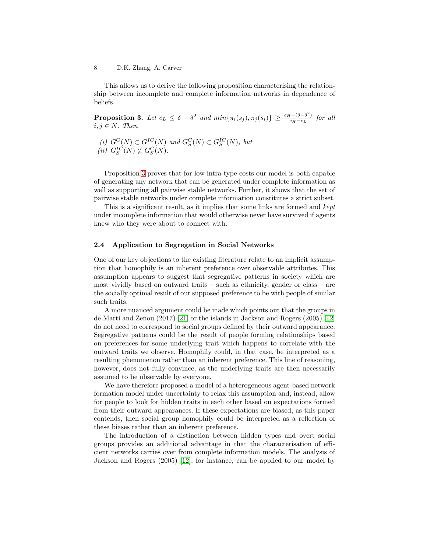This allows us to derive the following proposition characterising the relationship between incomplete and complete information networks in dependence of beliefs.

**Proposition 3.** Let  $c_L \leq \delta - \delta^2$  and  $min\{\pi_i(s_j), \pi_j(s_i)\} \geq \frac{c_H - (\delta - \delta^2)}{c_H - c_I}$  $\frac{a_l - (b - b)}{c_H - c_L}$  *for all*  $i, j \in N$ . Then

<span id="page-7-0"></span>(*i*)  $G^C(N) \subset G^{IC}(N)$  and  $G^C_S(N) \subset G^{IC}(N)$ , but (*ii*)  $G_S^{IC}(N) \not\subset G_S^{C}(N)$ .

Proposition [3](#page-7-0) proves that for low intra-type costs our model is both capable of generating any network that can be generated under complete information as well as supporting all pairwise stable networks. Further, it shows that the set of pairwise stable networks under complete information constitutes a strict subset.

This is a significant result, as it implies that some links are formed and *kept* under incomplete information that would otherwise never have survived if agents knew who they were about to connect with.

### 2.4 Application to Segregation in Social Networks

One of our key objections to the existing literature relate to an implicit assumption that homophily is an inherent preference over observable attributes. This assumption appears to suggest that segregative patterns in society which are most vividly based on outward traits – such as ethnicity, gender or class – are the socially optimal result of our supposed preference to be with people of similar such traits.

A more nuanced argument could be made which points out that the groups in de Martí and Zenou  $(2017)$  [\[21\]](#page-15-2) or the islands in Jackson and Rogers  $(2005)$  [\[12\]](#page-15-11) do not need to correspond to social groups defined by their outward appearance. Segregative patterns could be the result of people forming relationships based on preferences for some underlying trait which happens to correlate with the outward traits we observe. Homophily could, in that case, be interpreted as a resulting phenomenon rather than an inherent preference. This line of reasoning, however, does not fully convince, as the underlying traits are then necessarily assumed to be observable by everyone.

We have therefore proposed a model of a heterogeneous agent-based network formation model under uncertainty to relax this assumption and, instead, allow for people to look for hidden traits in each other based on expectations formed from their outward appearances. If these expectations are biased, as this paper contends, then social group homophily could be interpreted as a reflection of these biases rather than an inherent preference.

The introduction of a distinction between hidden types and overt social groups provides an additional advantage in that the characterisation of efficient networks carries over from complete information models. The analysis of Jackson and Rogers (2005) [\[12\]](#page-15-11), for instance, can be applied to our model by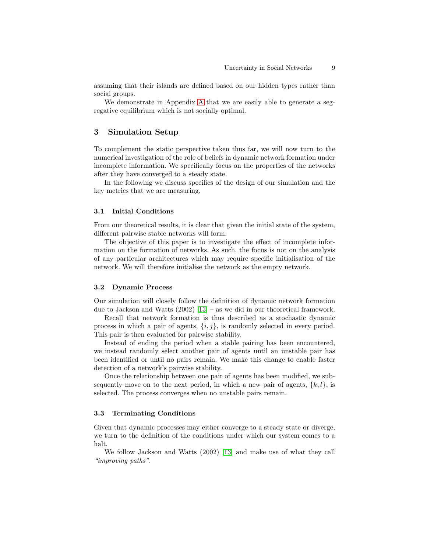assuming that their islands are defined based on our hidden types rather than social groups.

We demonstrate in Appendix [A](#page-17-0) that we are easily able to generate a segregative equilibrium which is not socially optimal.

### 3 Simulation Setup

To complement the static perspective taken thus far, we will now turn to the numerical investigation of the role of beliefs in dynamic network formation under incomplete information. We specifically focus on the properties of the networks after they have converged to a steady state.

In the following we discuss specifics of the design of our simulation and the key metrics that we are measuring.

### 3.1 Initial Conditions

From our theoretical results, it is clear that given the initial state of the system, different pairwise stable networks will form.

The objective of this paper is to investigate the effect of incomplete information on the formation of networks. As such, the focus is not on the analysis of any particular architectures which may require specific initialisation of the network. We will therefore initialise the network as the empty network.

### 3.2 Dynamic Process

Our simulation will closely follow the definition of dynamic network formation due to Jackson and Watts  $(2002)$  [\[13\]](#page-15-10) – as we did in our theoretical framework.

Recall that network formation is thus described as a stochastic dynamic process in which a pair of agents,  $\{i, j\}$ , is randomly selected in every period. This pair is then evaluated for pairwise stability.

Instead of ending the period when a stable pairing has been encountered, we instead randomly select another pair of agents until an unstable pair has been identified or until no pairs remain. We make this change to enable faster detection of a network's pairwise stability.

Once the relationship between one pair of agents has been modified, we subsequently move on to the next period, in which a new pair of agents,  $\{k, l\}$ , is selected. The process converges when no unstable pairs remain.

### 3.3 Terminating Conditions

Given that dynamic processes may either converge to a steady state or diverge, we turn to the definition of the conditions under which our system comes to a halt.

We follow Jackson and Watts (2002) [\[13\]](#page-15-10) and make use of what they call *"improving paths"*.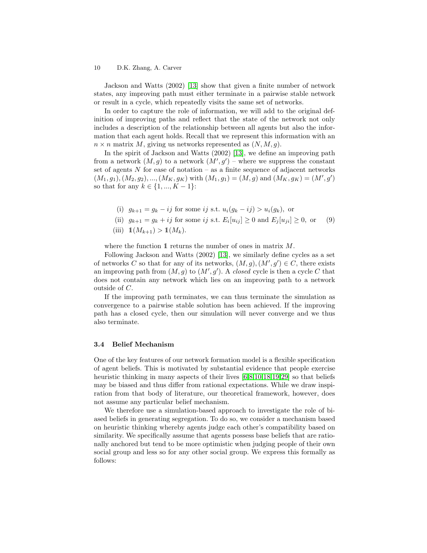Jackson and Watts (2002) [\[13\]](#page-15-10) show that given a finite number of network states, any improving path must either terminate in a pairwise stable network or result in a cycle, which repeatedly visits the same set of networks.

In order to capture the role of information, we will add to the original definition of improving paths and reflect that the state of the network not only includes a description of the relationship between all agents but also the information that each agent holds. Recall that we represent this information with an  $n \times n$  matrix M, giving us networks represented as  $(N, M, g)$ .

In the spirit of Jackson and Watts (2002) [\[13\]](#page-15-10), we define an improving path from a network  $(M, g)$  to a network  $(M', g')$  – where we suppress the constant set of agents  $N$  for ease of notation – as a finite sequence of adjacent networks  $(M_1, g_1), (M_2, g_2), ..., (M_K, g_K)$  with  $(M_1, g_1) = (M, g)$  and  $(M_K, g_K) = (M', g')$ so that for any  $k \in \{1, ..., K - 1\}$ :

- (i)  $g_{k+1} = g_k ij$  for some ij s.t.  $u_i(g_k ij) > u_i(g_k)$ , or
- (ii)  $g_{k+1} = g_k + ij$  for some ij s.t.  $E_i[u_{ij}] \geq 0$  and  $E_j[u_{ji}] \geq 0$ , or (9)
- (iii)  $1(M_{k+1}) > 1(M_k)$ .

where the function 1 returns the number of ones in matrix  $M$ .

Following Jackson and Watts (2002) [\[13\]](#page-15-10), we similarly define cycles as a set of networks C so that for any of its networks,  $(M, g), (M', g') \in C$ , there exists an improving path from  $(M, g)$  to  $(M', g')$ . A *closed* cycle is then a cycle C that does not contain any network which lies on an improving path to a network outside of C.

If the improving path terminates, we can thus terminate the simulation as convergence to a pairwise stable solution has been achieved. If the improving path has a closed cycle, then our simulation will never converge and we thus also terminate.

### 3.4 Belief Mechanism

One of the key features of our network formation model is a flexible specification of agent beliefs. This is motivated by substantial evidence that people exercise heuristic thinking in many aspects of their lives [\[6](#page-15-12)[,8](#page-15-13)[,10,](#page-15-14)[18,](#page-15-15)[19](#page-15-16)[,29\]](#page-16-9) so that beliefs may be biased and thus differ from rational expectations. While we draw inspiration from that body of literature, our theoretical framework, however, does not assume any particular belief mechanism.

We therefore use a simulation-based approach to investigate the role of biased beliefs in generating segregation. To do so, we consider a mechanism based on heuristic thinking whereby agents judge each other's compatibility based on similarity. We specifically assume that agents possess base beliefs that are rationally anchored but tend to be more optimistic when judging people of their own social group and less so for any other social group. We express this formally as follows: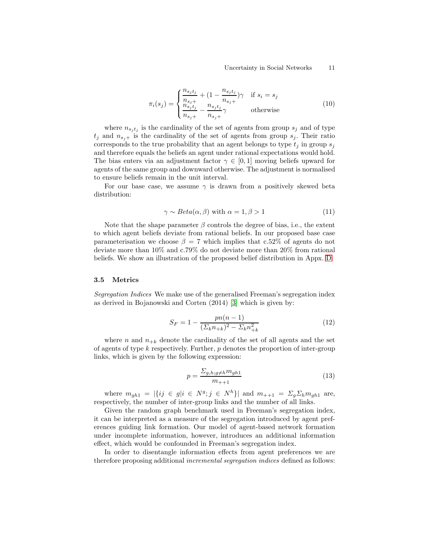$$
\pi_i(s_j) = \begin{cases}\n\frac{n_{s_j t_j}}{n_{s_j +}} + (1 - \frac{n_{s_j t_j}}{n_{s_j +}})\gamma & \text{if } s_i = s_j \\
\frac{n_{s_j t_j}}{n_{s_j +}} - \frac{n_{s_j t_j}}{n_{s_j +}}\gamma & \text{otherwise}\n\end{cases}
$$
\n(10)

where  $n_{s_j t_j}$  is the cardinality of the set of agents from group  $s_j$  and of type  $t_j$  and  $n_{s_j+}$  is the cardinality of the set of agents from group  $s_j$ . Their ratio corresponds to the true probability that an agent belongs to type  $t_i$  in group  $s_i$ and therefore equals the beliefs an agent under rational expectations would hold. The bias enters via an adjustment factor  $\gamma \in [0,1]$  moving beliefs upward for agents of the same group and downward otherwise. The adjustment is normalised to ensure beliefs remain in the unit interval.

For our base case, we assume  $\gamma$  is drawn from a positively skewed beta distribution:

$$
\gamma \sim Beta(\alpha, \beta) \text{ with } \alpha = 1, \beta > 1 \tag{11}
$$

Note that the shape parameter  $\beta$  controls the degree of bias, i.e., the extent to which agent beliefs deviate from rational beliefs. In our proposed base case parameterisation we choose  $\beta = 7$  which implies that c.52% of agents do not deviate more than 10% and c.79% do not deviate more than 20% from rational beliefs. We show an illustration of the proposed belief distribution in Appx. [D.](#page-24-0)

#### 3.5 Metrics

*Segregation Indices* We make use of the generalised Freeman's segregation index as derived in Bojanowski and Corten (2014) [\[3\]](#page-15-17) which is given by:

$$
S_F = 1 - \frac{pn(n-1)}{(\Sigma_k n_{+k})^2 - \Sigma_k n_{+k}^2}
$$
 (12)

where n and  $n_{+k}$  denote the cardinality of the set of all agents and the set of agents of type  $k$  respectively. Further,  $p$  denotes the proportion of inter-group links, which is given by the following expression:

$$
p = \frac{\sum_{g,h:g \neq h} m_{gh1}}{m_{++1}}\tag{13}
$$

where  $m_{gh1} = |\{ij \in gl \in N^g; j \in N^h\}|$  and  $m_{++1} = \sum_{g} \sum_{h} m_{gh1}$  are, respectively, the number of inter-group links and the number of all links.

Given the random graph benchmark used in Freeman's segregation index, it can be interpreted as a measure of the segregation introduced by agent preferences guiding link formation. Our model of agent-based network formation under incomplete information, however, introduces an additional information effect, which would be confounded in Freeman's segregation index.

In order to disentangle information effects from agent preferences we are therefore proposing additional *incremental segregation indices* defined as follows: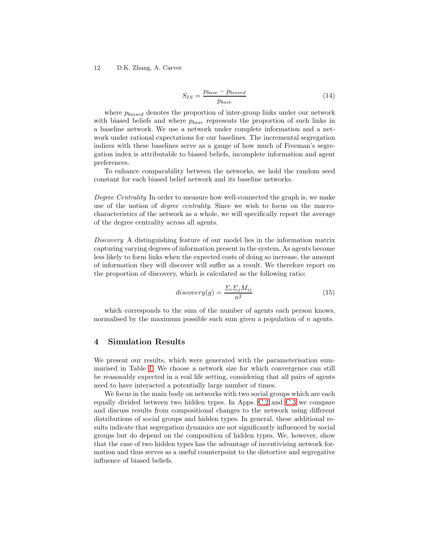$$
S_{IS} = \frac{p_{base} - p_{biased}}{p_{base}} \tag{14}
$$

where  $p_{biased}$  denotes the proportion of inter-group links under our network with biased beliefs and where  $p_{base}$  represents the proportion of such links in a baseline network. We use a network under complete information and a network under rational expectations for our baselines. The incremental segregation indices with these baselines serve as a gauge of how much of Freeman's segregation index is attributable to biased beliefs, incomplete information and agent preferences.

To enhance comparability between the networks, we hold the random seed constant for each biased belief network and its baseline networks.

*Degree Centrality* In order to measure how well-connected the graph is, we make use of the notion of *degree centrality*. Since we wish to focus on the macrocharacteristics of the network as a whole, we will specifically report the average of the degree centrality across all agents.

*Discovery* A distinguishing feature of our model lies in the information matrix capturing varying degrees of information present in the system. As agents become less likely to form links when the expected costs of doing so increase, the amount of information they will discover will suffer as a result. We therefore report on the proportion of discovery, which is calculated as the following ratio:

$$
discovery(g) = \frac{\Sigma_i \Sigma_j M_{ij}}{n^2} \tag{15}
$$

which corresponds to the sum of the number of agents each person knows, normalised by the maximum possible such sum given a population of  $n$  agents.

### 4 Simulation Results

We present our results, which were generated with the parameterisation summarised in Table [1.](#page-12-0) We choose a network size for which convergence can still be reasonably expected in a real life setting, considering that all pairs of agents need to have interacted a potentially large number of times.

We focus in the main body on networks with two social groups which are each equally divided between two hidden types. In Apps. [C.2](#page-20-0) and [C.3](#page-22-0) we compare and discuss results from compositional changes to the network using different distributions of social groups and hidden types. In general, these additional results indicate that segregation dynamics are not significantly influenced by social groups but do depend on the composition of hidden types. We, however, show that the case of two hidden types has the advantage of incentivising network formation and thus serves as a useful counterpoint to the distortive and segregative influence of biased beliefs.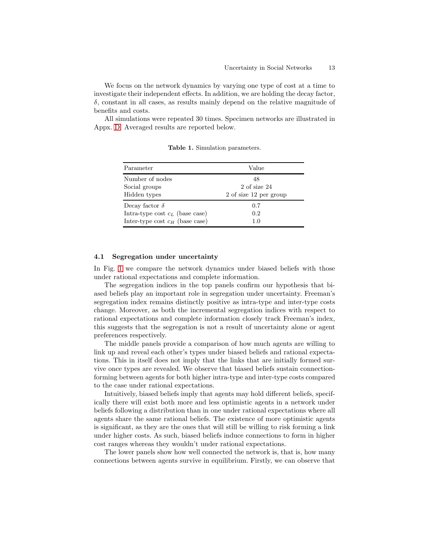We focus on the network dynamics by varying one type of cost at a time to investigate their independent effects. In addition, we are holding the decay factor,  $\delta$ , constant in all cases, as results mainly depend on the relative magnitude of benefits and costs.

All simulations were repeated 30 times. Specimen networks are illustrated in Appx. [D.](#page-24-0) Averaged results are reported below.

| Parameter                         | Value                  |
|-----------------------------------|------------------------|
| Number of nodes                   | 48                     |
| Social groups                     | $2$ of size $24$       |
| Hidden types                      | 2 of size 12 per group |
| Decay factor $\delta$             | 0.7                    |
| Intra-type cost $c_L$ (base case) | 0.2                    |
| Inter-type cost $c_H$ (base case) | 1.0                    |

<span id="page-12-0"></span>Table 1. Simulation parameters.

### 4.1 Segregation under uncertainty

In Fig. [1](#page-13-0) we compare the network dynamics under biased beliefs with those under rational expectations and complete information.

The segregation indices in the top panels confirm our hypothesis that biased beliefs play an important role in segregation under uncertainty. Freeman's segregation index remains distinctly positive as intra-type and inter-type costs change. Moreover, as both the incremental segregation indices with respect to rational expectations and complete information closely track Freeman's index, this suggests that the segregation is not a result of uncertainty alone or agent preferences respectively.

The middle panels provide a comparison of how much agents are willing to link up and reveal each other's types under biased beliefs and rational expectations. This in itself does not imply that the links that are initially formed survive once types are revealed. We observe that biased beliefs sustain connectionforming between agents for both higher intra-type and inter-type costs compared to the case under rational expectations.

Intuitively, biased beliefs imply that agents may hold different beliefs, specifically there will exist both more and less optimistic agents in a network under beliefs following a distribution than in one under rational expectations where all agents share the same rational beliefs. The existence of more optimistic agents is significant, as they are the ones that will still be willing to risk forming a link under higher costs. As such, biased beliefs induce connections to form in higher cost ranges whereas they wouldn't under rational expectations.

The lower panels show how well connected the network is, that is, how many connections between agents survive in equilibrium. Firstly, we can observe that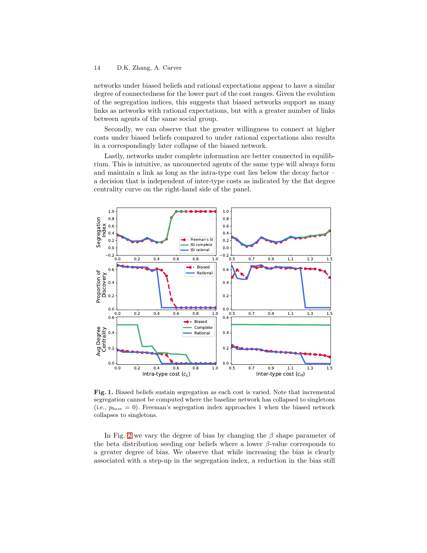networks under biased beliefs and rational expectations appear to have a similar degree of connectedness for the lower part of the cost ranges. Given the evolution of the segregation indices, this suggests that biased networks support as many links as networks with rational expectations, but with a greater number of links between agents of the same social group.

Secondly, we can observe that the greater willingness to connect at higher costs under biased beliefs compared to under rational expectations also results in a correspondingly later collapse of the biased network.

Lastly, networks under complete information are better connected in equilibrium. This is intuitive, as unconnected agents of the same type will always form and maintain a link as long as the intra-type cost lies below the decay factor – a decision that is independent of inter-type costs as indicated by the flat degree centrality curve on the right-hand side of the panel.



<span id="page-13-0"></span>Fig. 1. Biased beliefs sustain segregation as each cost is varied. Note that incremental segregation cannot be computed where the baseline network has collapsed to singletons (i.e.,  $p_{base} = 0$ ). Freeman's segregation index approaches 1 when the biased network collapses to singletons.

In Fig. [2](#page-14-0) we vary the degree of bias by changing the  $\beta$  shape parameter of the beta distribution seeding our beliefs where a lower  $\beta$ -value corresponds to a greater degree of bias. We observe that while increasing the bias is clearly associated with a step-up in the segregation index, a reduction in the bias still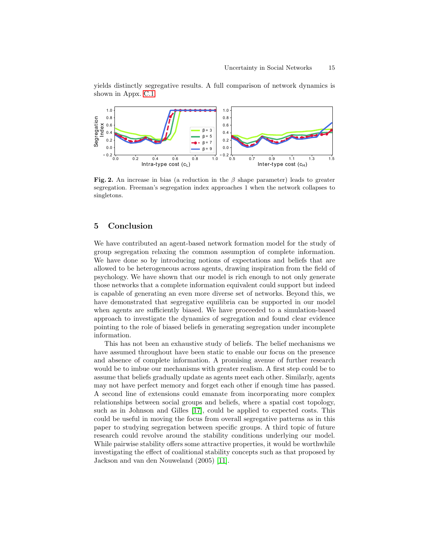

yields distinctly segregative results. A full comparison of network dynamics is shown in Appx. [C.1.](#page-20-1)

<span id="page-14-0"></span>Fig. 2. An increase in bias (a reduction in the  $\beta$  shape parameter) leads to greater segregation. Freeman's segregation index approaches 1 when the network collapses to singletons.

# 5 Conclusion

We have contributed an agent-based network formation model for the study of group segregation relaxing the common assumption of complete information. We have done so by introducing notions of expectations and beliefs that are allowed to be heterogeneous across agents, drawing inspiration from the field of psychology. We have shown that our model is rich enough to not only generate those networks that a complete information equivalent could support but indeed is capable of generating an even more diverse set of networks. Beyond this, we have demonstrated that segregative equilibria can be supported in our model when agents are sufficiently biased. We have proceeded to a simulation-based approach to investigate the dynamics of segregation and found clear evidence pointing to the role of biased beliefs in generating segregation under incomplete information.

This has not been an exhaustive study of beliefs. The belief mechanisms we have assumed throughout have been static to enable our focus on the presence and absence of complete information. A promising avenue of further research would be to imbue our mechanisms with greater realism. A first step could be to assume that beliefs gradually update as agents meet each other. Similarly, agents may not have perfect memory and forget each other if enough time has passed. A second line of extensions could emanate from incorporating more complex relationships between social groups and beliefs, where a spatial cost topology, such as in Johnson and Gilles [\[17\]](#page-15-18), could be applied to expected costs. This could be useful in moving the focus from overall segregative patterns as in this paper to studying segregation between specific groups. A third topic of future research could revolve around the stability conditions underlying our model. While pairwise stability offers some attractive properties, it would be worthwhile investigating the effect of coalitional stability concepts such as that proposed by Jackson and van den Nouweland (2005) [\[11\]](#page-15-19).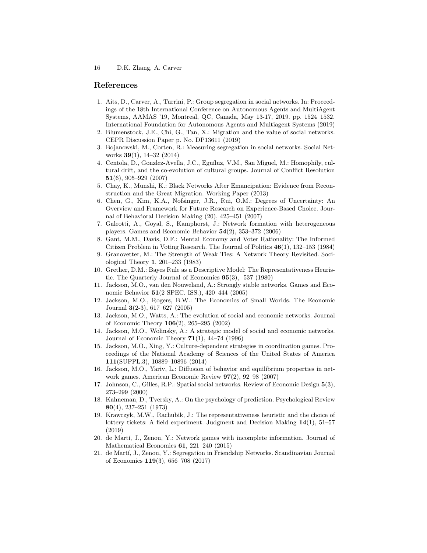# References

- 1. Aits, D., Carver, A., Turrini, P.: Group segregation in social networks. In: Proceedings of the 18th International Conference on Autonomous Agents and MultiAgent Systems, AAMAS '19, Montreal, QC, Canada, May 13-17, 2019. pp. 1524–1532. International Foundation for Autonomous Agents and Multiagent Systems (2019)
- <span id="page-15-4"></span>2. Blumenstock, J.E., Chi, G., Tan, X.: Migration and the value of social networks. CEPR Discussion Paper p. No. DP13611 (2019)
- <span id="page-15-17"></span>3. Bojanowski, M., Corten, R.: Measuring segregation in social networks. Social Networks 39(1), 14–32 (2014)
- <span id="page-15-3"></span>4. Centola, D., Gonzlez-Avella, J.C., Egu´ıluz, V.M., San Miguel, M.: Homophily, cultural drift, and the co-evolution of cultural groups. Journal of Conflict Resolution 51(6), 905–929 (2007)
- <span id="page-15-5"></span>5. Chay, K., Munshi, K.: Black Networks After Emancipation: Evidence from Reconstruction and the Great Migration. Working Paper (2013)
- <span id="page-15-12"></span>6. Chen, G., Kim, K.A., Nofsinger, J.R., Rui, O.M.: Degrees of Uncertainty: An Overview and Framework for Future Research on Experience-Based Choice. Journal of Behavioral Decision Making (20), 425–451 (2007)
- <span id="page-15-9"></span>7. Galeotti, A., Goyal, S., Kamphorst, J.: Network formation with heterogeneous players. Games and Economic Behavior 54(2), 353–372 (2006)
- <span id="page-15-13"></span>8. Gant, M.M., Davis, D.F.: Mental Economy and Voter Rationality: The Informed Citizen Problem in Voting Research. The Journal of Politics 46(1), 132–153 (1984)
- <span id="page-15-6"></span>9. Granovetter, M.: The Strength of Weak Ties: A Network Theory Revisited. Sociological Theory 1, 201–233 (1983)
- <span id="page-15-14"></span>10. Grether, D.M.: Bayes Rule as a Descriptive Model: The Representativeness Heuristic. The Quarterly Journal of Economics 95(3), 537 (1980)
- <span id="page-15-19"></span>11. Jackson, M.O., van den Nouweland, A.: Strongly stable networks. Games and Economic Behavior 51(2 SPEC. ISS.), 420–444 (2005)
- <span id="page-15-11"></span>12. Jackson, M.O., Rogers, B.W.: The Economics of Small Worlds. The Economic Journal 3(2-3), 617–627 (2005)
- <span id="page-15-10"></span>13. Jackson, M.O., Watts, A.: The evolution of social and economic networks. Journal of Economic Theory 106(2), 265–295 (2002)
- <span id="page-15-0"></span>14. Jackson, M.O., Wolinsky, A.: A strategic model of social and economic networks. Journal of Economic Theory  $71(1)$ , 44–74 (1996)
- <span id="page-15-1"></span>15. Jackson, M.O., Xing, Y.: Culture-dependent strategies in coordination games. Proceedings of the National Academy of Sciences of the United States of America 111(SUPPL.3), 10889–10896 (2014)
- <span id="page-15-7"></span>16. Jackson, M.O., Yariv, L.: Diffusion of behavior and equilibrium properties in network games. American Economic Review 97(2), 92–98 (2007)
- <span id="page-15-18"></span>17. Johnson, C., Gilles, R.P.: Spatial social networks. Review of Economic Design 5(3), 273–299 (2000)
- <span id="page-15-15"></span>18. Kahneman, D., Tversky, A.: On the psychology of prediction. Psychological Review 80(4), 237–251 (1973)
- <span id="page-15-16"></span>19. Krawczyk, M.W., Rachubik, J.: The representativeness heuristic and the choice of lottery tickets: A field experiment. Judgment and Decision Making 14(1), 51–57 (2019)
- <span id="page-15-8"></span>20. de Martí, J., Zenou, Y.: Network games with incomplete information. Journal of Mathematical Economics 61, 221–240 (2015)
- <span id="page-15-2"></span>21. de Martí, J., Zenou, Y.: Segregation in Friendship Networks. Scandinavian Journal of Economics 119(3), 656–708 (2017)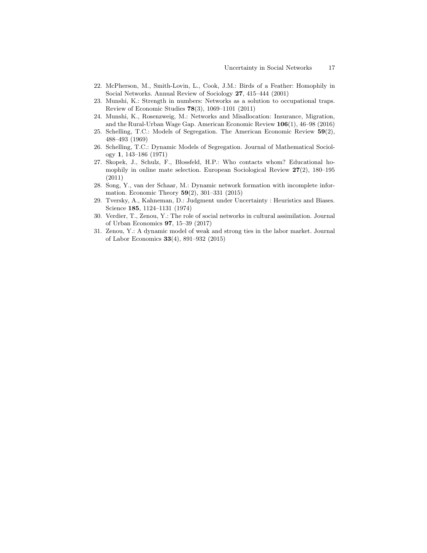- <span id="page-16-5"></span><span id="page-16-2"></span>22. McPherson, M., Smith-Lovin, L., Cook, J.M.: Birds of a Feather: Homophily in Social Networks. Annual Review of Sociology 27, 415–444 (2001)
- <span id="page-16-3"></span>23. Munshi, K.: Strength in numbers: Networks as a solution to occupational traps. Review of Economic Studies 78(3), 1069–1101 (2011)
- 24. Munshi, K., Rosenzweig, M.: Networks and Misallocation: Insurance, Migration, and the Rural-Urban Wage Gap. American Economic Review 106(1), 46–98 (2016)
- <span id="page-16-0"></span>25. Schelling, T.C.: Models of Segregation. The American Economic Review 59(2), 488–493 (1969)
- <span id="page-16-1"></span>26. Schelling, T.C.: Dynamic Models of Segregation. Journal of Mathematical Sociology 1, 143–186 (1971)
- <span id="page-16-7"></span>27. Skopek, J., Schulz, F., Blossfeld, H.P.: Who contacts whom? Educational homophily in online mate selection. European Sociological Review 27(2), 180–195 (2011)
- <span id="page-16-8"></span>28. Song, Y., van der Schaar, M.: Dynamic network formation with incomplete information. Economic Theory 59(2), 301–331 (2015)
- <span id="page-16-9"></span>29. Tversky, A., Kahneman, D.: Judgment under Uncertainty : Heuristics and Biases. Science 185, 1124–1131 (1974)
- <span id="page-16-4"></span>30. Verdier, T., Zenou, Y.: The role of social networks in cultural assimilation. Journal of Urban Economics 97, 15–39 (2017)
- <span id="page-16-6"></span>31. Zenou, Y.: A dynamic model of weak and strong ties in the labor market. Journal of Labor Economics 33(4), 891–932 (2015)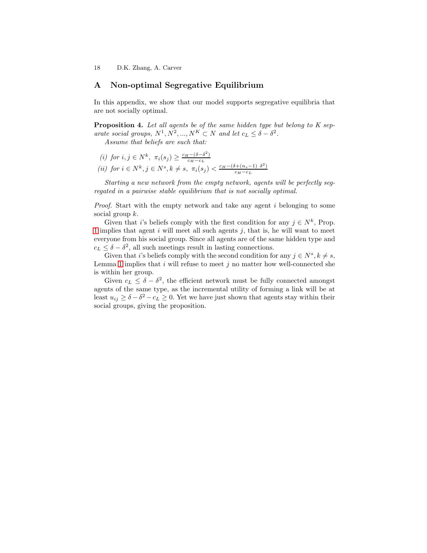# <span id="page-17-0"></span>A Non-optimal Segregative Equilibrium

In this appendix, we show that our model supports segregative equilibria that are not socially optimal.

Proposition 4. *Let all agents be of the same hidden type but belong to K separate social groups,*  $N^1, N^2, ..., N^K \subset N$  *and let*  $c_L \leq \delta - \delta^2$ *.* 

*Assume that beliefs are such that:*

(*i*) for  $i, j \in N^k$ ,  $\pi_i(s_j) \geq \frac{c_H - (\delta - \delta^2)}{c_H - c_I}$  $c_H-c_L$ *(ii)* for  $i \in N^k, j \in N^s, k \neq s, \pi_i(s_j) < \frac{c_H-(\delta+(n_s-1))\delta^2}{c_H-c_I}$  $c_H-c_L$ 

*Starting a new network from the empty network, agents will be perfectly segregated in a pairwise stable equilibrium that is not socially optimal.*

*Proof.* Start with the empty network and take any agent i belonging to some social group  $k$ .

Given that i's beliefs comply with the first condition for any  $j \in N^k$ , Prop. [1](#page-5-0) implies that agent  $i$  will meet all such agents  $j$ , that is, he will want to meet everyone from his social group. Since all agents are of the same hidden type and  $c_L \leq \delta - \delta^2$ , all such meetings result in lasting connections.

Given that i's beliefs comply with the second condition for any  $j \in N^s, k \neq s$ , Lemma [1](#page-6-0) implies that  $i$  will refuse to meet  $j$  no matter how well-connected she is within her group.

Given  $c_L \leq \delta - \delta^2$ , the efficient network must be fully connected amongst agents of the same type, as the incremental utility of forming a link will be at least  $u_{ij} \ge \delta - \delta^2 - c_L \ge 0$ . Yet we have just shown that agents stay within their social groups, giving the proposition.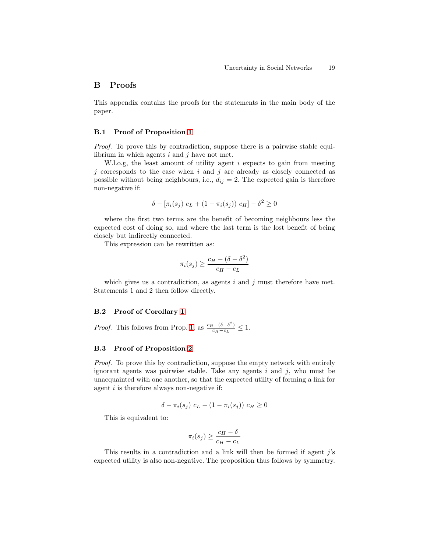# <span id="page-18-0"></span>B Proofs

This appendix contains the proofs for the statements in the main body of the paper.

### B.1 Proof of Proposition [1](#page-5-0)

*Proof.* To prove this by contradiction, suppose there is a pairwise stable equilibrium in which agents  $i$  and  $j$  have not met.

W.l.o.g, the least amount of utility agent i expects to gain from meeting  $j$  corresponds to the case when  $i$  and  $j$  are already as closely connected as possible without being neighbours, i.e.,  $d_{ij} = 2$ . The expected gain is therefore non-negative if:

$$
\delta - [\pi_i(s_j) \ c_L + (1 - \pi_i(s_j)) \ c_H] - \delta^2 \ge 0
$$

where the first two terms are the benefit of becoming neighbours less the expected cost of doing so, and where the last term is the lost benefit of being closely but indirectly connected.

This expression can be rewritten as:

$$
\pi_i(s_j) \ge \frac{c_H - (\delta - \delta^2)}{c_H - c_L}
$$

which gives us a contradiction, as agents  $i$  and  $j$  must therefore have met. Statements 1 and 2 then follow directly.

### B.2 Proof of Corollary [1](#page-5-1)

*Proof.* This follows from Prop. [1,](#page-5-0) as  $\frac{c_H - (\delta - \delta^2)}{c_H - c_L}$  $\frac{c_{H}-c_{L}}{c_{H}-c_{L}} \leq 1.$ 

### B.3 Proof of Proposition [2](#page-5-2)

*Proof.* To prove this by contradiction, suppose the empty network with entirely ignorant agents was pairwise stable. Take any agents  $i$  and  $j$ , who must be unacquainted with one another, so that the expected utility of forming a link for agent  $i$  is therefore always non-negative if:

$$
\delta - \pi_i(s_j) c_L - (1 - \pi_i(s_j)) c_H \ge 0
$$

This is equivalent to:

$$
\pi_i(s_j) \ge \frac{c_H - \delta}{c_H - c_L}
$$

This results in a contradiction and a link will then be formed if agent  $j$ 's expected utility is also non-negative. The proposition thus follows by symmetry.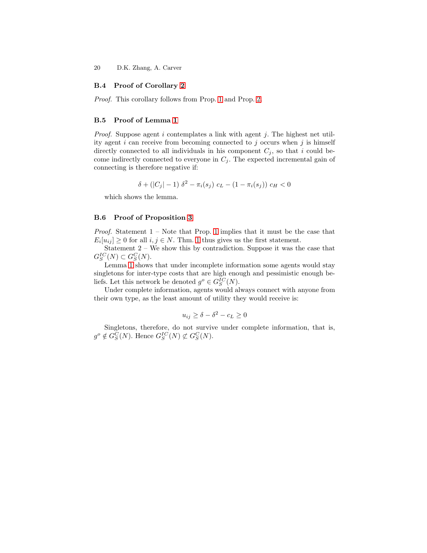### B.4 Proof of Corollary [2](#page-6-1)

*Proof.* This corollary follows from Prop. [1](#page-5-0) and Prop. [2.](#page-5-2)

### B.5 Proof of Lemma [1](#page-6-0)

*Proof.* Suppose agent i contemplates a link with agent j. The highest net utility agent  $i$  can receive from becoming connected to  $j$  occurs when  $j$  is himself directly connected to all individuals in his component  $C_j$ , so that i could become indirectly connected to everyone in  $C_i$ . The expected incremental gain of connecting is therefore negative if:

$$
\delta + (|C_j| - 1) \delta^2 - \pi_i(s_j) c_L - (1 - \pi_i(s_j)) c_H < 0
$$

which shows the lemma.

### B.6 Proof of Proposition [3](#page-7-0)

*Proof.* Statement 1 – Note that Prop. [1](#page-5-0) implies that it must be the case that  $E_i[u_{ij}] \geq 0$  for all  $i, j \in N$ . Thm. [1](#page-6-2) thus gives us the first statement.

Statement 2 – We show this by contradiction. Suppose it was the case that  $G_S^{IC}(N) \subset G_S^C(N)$ .

Lemma [1](#page-6-0) shows that under incomplete information some agents would stay singletons for inter-type costs that are high enough and pessimistic enough beliefs. Let this network be denoted  $g^o \in G_S^{IC}(N)$ .

Under complete information, agents would always connect with anyone from their own type, as the least amount of utility they would receive is:

$$
u_{ij} \ge \delta - \delta^2 - c_L \ge 0
$$

Singletons, therefore, do not survive under complete information, that is,  $g^o \notin G_S^C(N)$ . Hence  $G_S^{IC}(N) \not\subset G_S^C(N)$ .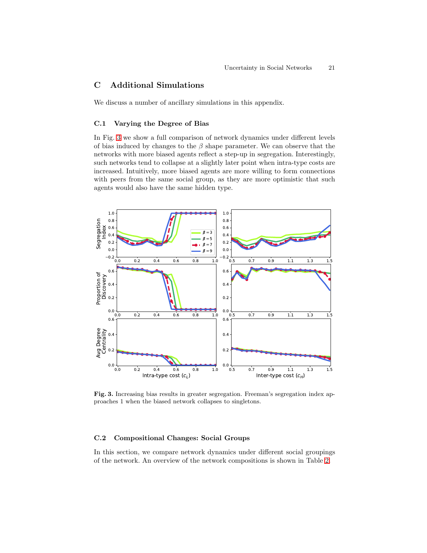# C Additional Simulations

We discuss a number of ancillary simulations in this appendix.

### <span id="page-20-1"></span>C.1 Varying the Degree of Bias

In Fig. [3](#page-20-2) we show a full comparison of network dynamics under different levels of bias induced by changes to the  $\beta$  shape parameter. We can observe that the networks with more biased agents reflect a step-up in segregation. Interestingly, such networks tend to collapse at a slightly later point when intra-type costs are increased. Intuitively, more biased agents are more willing to form connections with peers from the same social group, as they are more optimistic that such agents would also have the same hidden type.



<span id="page-20-2"></span>Fig. 3. Increasing bias results in greater segregation. Freeman's segregation index approaches 1 when the biased network collapses to singletons.

### <span id="page-20-0"></span>C.2 Compositional Changes: Social Groups

In this section, we compare network dynamics under different social groupings of the network. An overview of the network compositions is shown in Table [2.](#page-21-0)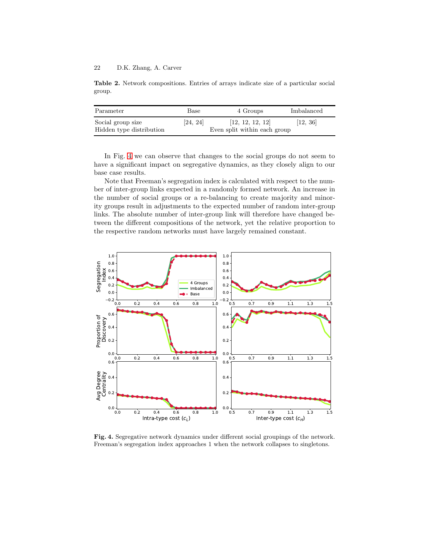<span id="page-21-0"></span>Table 2. Network compositions. Entries of arrays indicate size of a particular social group.

| Parameter                                     | Base     | 4 Groups                                         | Imbalanced |
|-----------------------------------------------|----------|--------------------------------------------------|------------|
| Social group size<br>Hidden type distribution | [24, 24] | [12, 12, 12, 12]<br>Even split within each group | [12, 36]   |

In Fig. [4](#page-21-1) we can observe that changes to the social groups do not seem to have a significant impact on segregative dynamics, as they closely align to our base case results.

Note that Freeman's segregation index is calculated with respect to the number of inter-group links expected in a randomly formed network. An increase in the number of social groups or a re-balancing to create majority and minority groups result in adjustments to the expected number of random inter-group links. The absolute number of inter-group link will therefore have changed between the different compositions of the network, yet the relative proportion to the respective random networks must have largely remained constant.



<span id="page-21-1"></span>Fig. 4. Segregative network dynamics under different social groupings of the network. Freeman's segregation index approaches 1 when the network collapses to singletons.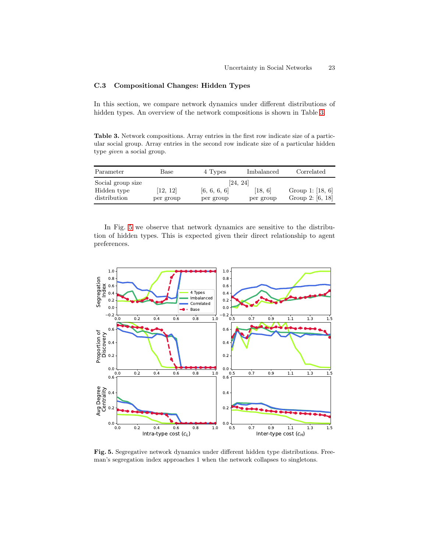### <span id="page-22-0"></span>C.3 Compositional Changes: Hidden Types

In this section, we compare network dynamics under different distributions of hidden types. An overview of the network compositions is shown in Table [3.](#page-22-1)

<span id="page-22-1"></span>Table 3. Network compositions. Array entries in the first row indicate size of a particular social group. Array entries in the second row indicate size of a particular hidden type given a social group.

| Parameter                                        | Base                  | 4 Types                   | Imbalanced                       | Correlated                             |
|--------------------------------------------------|-----------------------|---------------------------|----------------------------------|----------------------------------------|
| Social group size<br>Hidden type<br>distribution | [12, 12]<br>per group | [6, 6, 6, 6]<br>per group | [24, 24]<br>[18, 6]<br>per group | Group 1: $[18, 6]$<br>Group 2: [6, 18] |

In Fig. [5](#page-22-2) we observe that network dynamics are sensitive to the distribution of hidden types. This is expected given their direct relationship to agent preferences.



<span id="page-22-2"></span>Fig. 5. Segregative network dynamics under different hidden type distributions. Freeman's segregation index approaches 1 when the network collapses to singletons.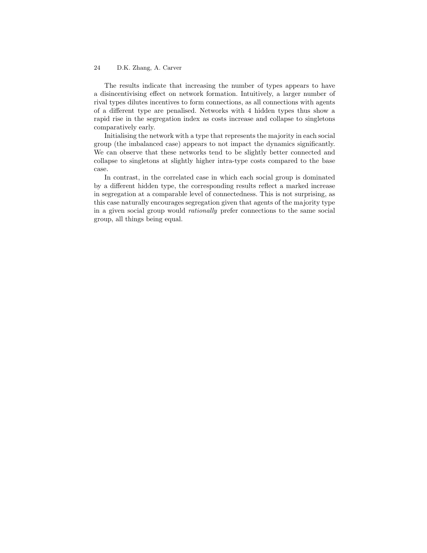The results indicate that increasing the number of types appears to have a disincentivising effect on network formation. Intuitively, a larger number of rival types dilutes incentives to form connections, as all connections with agents of a different type are penalised. Networks with 4 hidden types thus show a rapid rise in the segregation index as costs increase and collapse to singletons comparatively early.

Initialising the network with a type that represents the majority in each social group (the imbalanced case) appears to not impact the dynamics significantly. We can observe that these networks tend to be slightly better connected and collapse to singletons at slightly higher intra-type costs compared to the base case.

In contrast, in the correlated case in which each social group is dominated by a different hidden type, the corresponding results reflect a marked increase in segregation at a comparable level of connectedness. This is not surprising, as this case naturally encourages segregation given that agents of the majority type in a given social group would *rationally* prefer connections to the same social group, all things being equal.